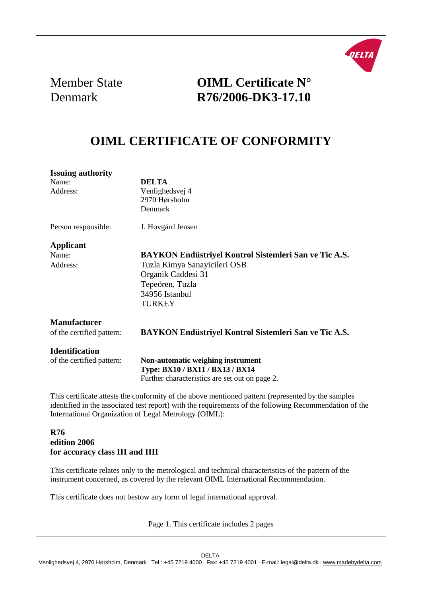

## Member State **OIML Certificate N°** Denmark **R76/2006-DK3-17.10**

## **OIML CERTIFICATE OF CONFORMITY**

| <b>Issuing authority</b>  |                                                                                                        |  |
|---------------------------|--------------------------------------------------------------------------------------------------------|--|
| Name:                     | <b>DELTA</b>                                                                                           |  |
| Address:                  | Venlighedsvej 4                                                                                        |  |
|                           | 2970 Hørsholm                                                                                          |  |
|                           | Denmark                                                                                                |  |
| Person responsible:       | J. Hovgård Jensen                                                                                      |  |
| <b>Applicant</b>          |                                                                                                        |  |
| Name:                     | BAYKON Endüstriyel Kontrol Sistemleri San ve Tic A.S.                                                  |  |
| Address:                  | Tuzla Kimya Sanayicileri OSB                                                                           |  |
|                           | Organik Caddesi 31                                                                                     |  |
|                           | Tepeören, Tuzla                                                                                        |  |
|                           | 34956 Istanbul                                                                                         |  |
|                           | <b>TURKEY</b>                                                                                          |  |
| <b>Manufacturer</b>       |                                                                                                        |  |
| of the certified pattern: | BAYKON Endüstriyel Kontrol Sistemleri San ve Tic A.S.                                                  |  |
| <b>Identification</b>     |                                                                                                        |  |
| of the certified pattern: | Non-automatic weighing instrument                                                                      |  |
|                           | Type: BX10 / BX11 / BX13 / BX14                                                                        |  |
|                           | Further characteristics are set out on page 2.                                                         |  |
|                           | This certificate attests the conformity of the above mentioned pattern (represented by the samples     |  |
|                           | identified in the associated test report) with the requirements of the following Recommendation of the |  |
|                           | International Organization of Legal Metrology (OIML):                                                  |  |

#### **R76 edition 2006 for accuracy class III and IIII**

This certificate relates only to the metrological and technical characteristics of the pattern of the instrument concerned, as covered by the relevant OIML International Recommendation.

This certificate does not bestow any form of legal international approval.

Page 1. This certificate includes 2 pages